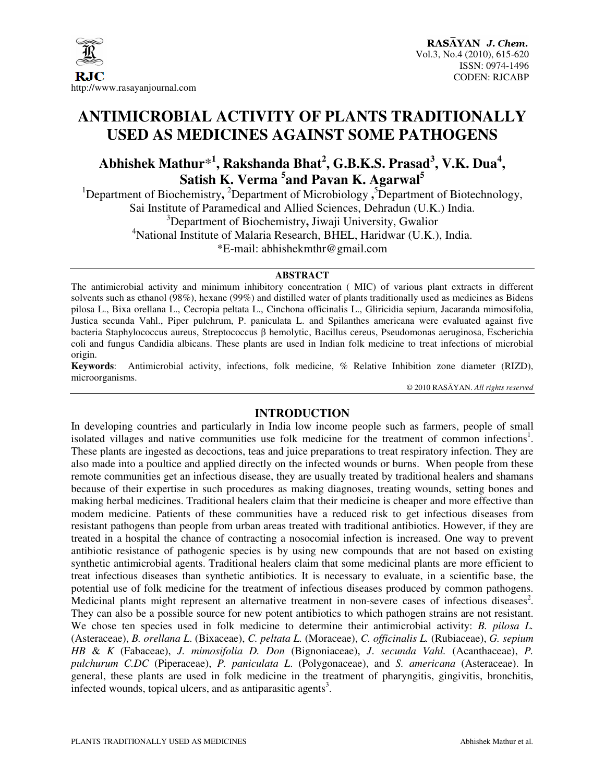

# **ANTIMICROBIAL ACTIVITY OF PLANTS TRADITIONALLY USED AS MEDICINES AGAINST SOME PATHOGENS**

## **Abhishek Mathur**\* **1 , Rakshanda Bhat<sup>2</sup> , G.B.K.S. Prasad<sup>3</sup> , V.K. Dua<sup>4</sup> , Satish K. Verma <sup>5</sup> and Pavan K. Agarwal<sup>5</sup>**

<sup>1</sup>Department of Biochemistry, <sup>2</sup>Department of Microbiology, <sup>5</sup>Department of Biotechnology, Sai Institute of Paramedical and Allied Sciences, Dehradun (U.K.) India. <sup>3</sup>Department of Biochemistry**,** Jiwaji University, Gwalior <sup>4</sup>National Institute of Malaria Research, BHEL, Haridwar (U.K.), India. \*E-mail: abhishekmthr@gmail.com

#### **ABSTRACT**

The antimicrobial activity and minimum inhibitory concentration ( MIC) of various plant extracts in different solvents such as ethanol (98%), hexane (99%) and distilled water of plants traditionally used as medicines as Bidens pilosa L., Bixa orellana L., Cecropia peltata L., Cinchona officinalis L., Gliricidia sepium, Jacaranda mimosifolia, Justica secunda Vahl., Piper pulchrum, P. paniculata L. and Spilanthes americana were evaluated against five bacteria Staphylococcus aureus, Streptococcus β hemolytic, Bacillus cereus, Pseudomonas aeruginosa, Escherichia coli and fungus Candidia albicans. These plants are used in Indian folk medicine to treat infections of microbial origin.

**Keywords**: Antimicrobial activity, infections, folk medicine, % Relative Inhibition zone diameter (RIZD), microorganisms.

© 2010 RASĀYAN. *All rights reserved*

## **INTRODUCTION**

In developing countries and particularly in India low income people such as farmers, people of small isolated villages and native communities use folk medicine for the treatment of common infections<sup>1</sup>. These plants are ingested as decoctions, teas and juice preparations to treat respiratory infection. They are also made into a poultice and applied directly on the infected wounds or burns. When people from these remote communities get an infectious disease, they are usually treated by traditional healers and shamans because of their expertise in such procedures as making diagnoses, treating wounds, setting bones and making herbal medicines. Traditional healers claim that their medicine is cheaper and more effective than modem medicine. Patients of these communities have a reduced risk to get infectious diseases from resistant pathogens than people from urban areas treated with traditional antibiotics. However, if they are treated in a hospital the chance of contracting a nosocomial infection is increased. One way to prevent antibiotic resistance of pathogenic species is by using new compounds that are not based on existing synthetic antimicrobial agents. Traditional healers claim that some medicinal plants are more efficient to treat infectious diseases than synthetic antibiotics. It is necessary to evaluate, in a scientific base, the potential use of folk medicine for the treatment of infectious diseases produced by common pathogens. Medicinal plants might represent an alternative treatment in non-severe cases of infectious diseases<sup>2</sup>. They can also be a possible source for new potent antibiotics to which pathogen strains are not resistant. We chose ten species used in folk medicine to determine their antimicrobial activity: *B. pilosa L.* (Asteraceae), *B. orellana L*. (Bixaceae), *C. peltata L.* (Moraceae), *C. officinalis L.* (Rubiaceae), *G. sepium HB* & *K* (Fabaceae), *J. mimosifolia D. Don* (Bignoniaceae), *J*. *secunda Vahl.* (Acanthaceae), *P. pulchurum C.DC* (Piperaceae), *P. paniculata L*. (Polygonaceae), and *S. americana* (Asteraceae). In general, these plants are used in folk medicine in the treatment of pharyngitis, gingivitis, bronchitis, infected wounds, topical ulcers, and as antiparasitic agents<sup>3</sup>.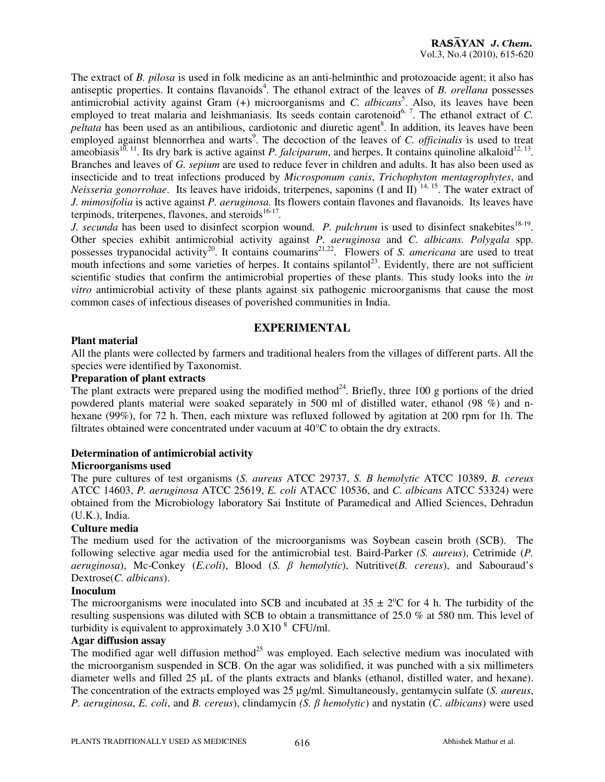The extract of *B. pilosa* is used in folk medicine as an anti-helminthic and protozoacide agent; it also has antiseptic properties. It contains flavanoids<sup>4</sup>. The ethanol extract of the leaves of *B. orellana* possesses antimicrobial activity against Gram (+) microorganisms and *C. albicans*<sup>5</sup>. Also, its leaves have been employed to treat malaria and leishmaniasis. Its seeds contain carotenoid<sup>6, 7</sup>. The ethanol extract of *C*. *peltata* has been used as an antibilious, cardiotonic and diuretic agent<sup>8</sup>. In addition, its leaves have been employed against blennorrhea and warts<sup>9</sup>. The decoction of the leaves of *C. officinalis* is used to treat ameobiasis<sup>10, 11</sup>. Its dry bark is active against *P. falciparum*, and herpes. It contains quinoline alkaloid<sup>12, 13</sup>. Branches and leaves of *G. sepium* are used to reduce fever in children and adults. It has also been used as insecticide and to treat infections produced by *Microsponum canis*, *Trichophyton mentagrophytes*, and *Neisseria gonorrohae*. Its leaves have iridoids, triterpenes, saponins (I and II) <sup>14, 15</sup>. The water extract of *J. mimosifolia* is active against *P. aeruginosa.* Its flowers contain flavones and flavanoids. Its leaves have terpinods, triterpenes, flavones, and steroids<sup>16-17</sup>.

*J. secunda* has been used to disinfect scorpion wound. *P. pulchrum* is used to disinfect snakebites<sup>18-19</sup>. Other species exhibit antimicrobial activity against *P. aeruginosa* and *C. albicans. Polygala* spp. possesses trypanocidal activity<sup>20</sup>. It contains coumarins<sup>21,22</sup>. Flowers of *S. americana* are used to treat mouth infections and some varieties of herpes. It contains spilantol<sup>23</sup>. Evidently, there are not sufficient scientific studies that confirm the antimicrobial properties of these plants. This study looks into the *in vitro* antimicrobial activity of these plants against six pathogenic microorganisms that cause the most common cases of infectious diseases of poverished communities in India.

### **EXPERIMENTAL**

#### **Plant material**

All the plants were collected by farmers and traditional healers from the villages of different parts. All the species were identified by Taxonomist.

#### **Preparation of plant extracts**

The plant extracts were prepared using the modified method<sup>24</sup>. Briefly, three 100 g portions of the dried powdered plants material were soaked separately in 500 ml of distilled water, ethanol (98 %) and nhexane (99%), for 72 h. Then, each mixture was refluxed followed by agitation at 200 rpm for 1h. The filtrates obtained were concentrated under vacuum at 40°C to obtain the dry extracts.

#### **Determination of antimicrobial activity**

#### **Microorganisms used**

The pure cultures of test organisms (*S. aureus* ATCC 29737, *S.* Β *hemolytic* ATCC 10389, *B. cereus*  ATCC 14603, *P. aeruginosa* ATCC 25619, *E. coli* ATACC 10536, and *C. albicans* ATCC 53324) were obtained from the Microbiology laboratory Sai Institute of Paramedical and Allied Sciences, Dehradun (U.K.), India.

#### **Culture media**

The medium used for the activation of the microorganisms was Soybean casein broth (SCB). The following selective agar media used for the antimicrobial test. Baird-Parker *(S. aureus*), Cetrimide (*P. aeruginosa*), Mc-Conkey (*E.coli*), Blood (*S.* β *hemolytic*), Nutritive(*B. cereus*), and Sabouraud's Dextrose(*C. albicans*).

#### **Inoculum**

The microorganisms were inoculated into SCB and incubated at  $35 \pm 2$ °C for 4 h. The turbidity of the resulting suspensions was diluted with SCB to obtain a transmittance of 25.0 % at 580 nm. This level of turbidity is equivalent to approximately  $3.0 \times 10^8$  CFU/ml.

#### **Agar diffusion assay**

The modified agar well diffusion method<sup>25</sup> was employed. Each selective medium was inoculated with the microorganism suspended in SCB. On the agar was solidified, it was punched with a six millimeters diameter wells and filled 25 µL of the plants extracts and blanks (ethanol, distilled water, and hexane). The concentration of the extracts employed was 25 µg/ml. Simultaneously, gentamycin sulfate (*S. aureus*, *P. aeruginosa*, *E. coli*, and *B. cereus*), clindamycin *(S.* β *hemolytic*) and nystatin (*C*. *albicans*) were used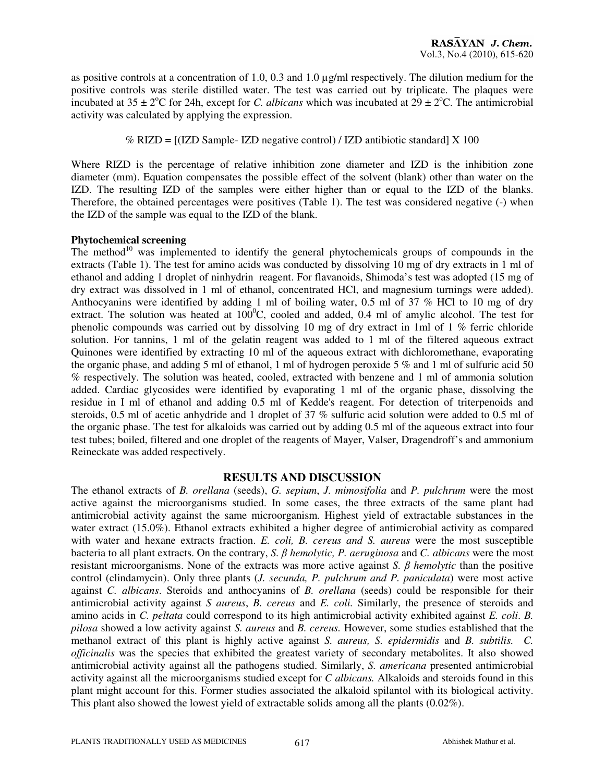as positive controls at a concentration of 1.0, 0.3 and 1.0 µg/ml respectively. The dilution medium for the positive controls was sterile distilled water. The test was carried out by triplicate. The plaques were incubated at  $35 \pm 2^{\circ}\text{C}$  for 24h, except for *C. albicans* which was incubated at  $29 \pm 2^{\circ}\text{C}$ . The antimicrobial activity was calculated by applying the expression.

% RIZD = [(IZD Sample- IZD negative control) / IZD antibiotic standard] X 100

Where RIZD is the percentage of relative inhibition zone diameter and IZD is the inhibition zone diameter (mm). Equation compensates the possible effect of the solvent (blank) other than water on the IZD. The resulting IZD of the samples were either higher than or equal to the IZD of the blanks. Therefore, the obtained percentages were positives (Table 1). The test was considered negative (-) when the IZD of the sample was equal to the IZD of the blank.

#### **Phytochemical screening**

The method<sup>10</sup> was implemented to identify the general phytochemicals groups of compounds in the extracts (Table 1). The test for amino acids was conducted by dissolving 10 mg of dry extracts in 1 ml of ethanol and adding 1 droplet of ninhydrin reagent. For flavanoids, Shimoda's test was adopted (15 mg of dry extract was dissolved in 1 ml of ethanol, concentrated HCl, and magnesium turnings were added). Anthocyanins were identified by adding 1 ml of boiling water, 0.5 ml of 37 % HCl to 10 mg of dry extract. The solution was heated at  $100^{\circ}$ C, cooled and added, 0.4 ml of amylic alcohol. The test for phenolic compounds was carried out by dissolving 10 mg of dry extract in 1ml of 1 % ferric chloride solution. For tannins, 1 ml of the gelatin reagent was added to 1 ml of the filtered aqueous extract Quinones were identified by extracting 10 ml of the aqueous extract with dichloromethane, evaporating the organic phase, and adding 5 ml of ethanol, 1 ml of hydrogen peroxide 5 % and 1 ml of sulfuric acid 50 % respectively. The solution was heated, cooled, extracted with benzene and 1 ml of ammonia solution added. Cardiac glycosides were identified by evaporating 1 ml of the organic phase, dissolving the residue in I ml of ethanol and adding 0.5 ml of Kedde's reagent. For detection of triterpenoids and steroids, 0.5 ml of acetic anhydride and 1 droplet of 37 % sulfuric acid solution were added to 0.5 ml of the organic phase. The test for alkaloids was carried out by adding 0.5 ml of the aqueous extract into four test tubes; boiled, filtered and one droplet of the reagents of Mayer, Valser, Dragendroff's and ammonium Reineckate was added respectively.

#### **RESULTS AND DISCUSSION**

The ethanol extracts of *B. orellana* (seeds), *G. sepium*, *J. mimosifolia* and *P. pulchrum* were the most active against the microorganisms studied. In some cases, the three extracts of the same plant had antimicrobial activity against the same microorganism. Highest yield of extractable substances in the water extract (15.0%). Ethanol extracts exhibited a higher degree of antimicrobial activity as compared with water and hexane extracts fraction. *E. coli, B. cereus and S. aureus* were the most susceptible bacteria to all plant extracts. On the contrary, *S.* β *hemolytic, P. aeruginosa* and *C. albicans* were the most resistant microorganisms. None of the extracts was more active against *S.* β *hemolytic* than the positive control (clindamycin). Only three plants (*J. secunda, P. pulchrum and P. paniculata*) were most active against *C. albicans*. Steroids and anthocyanins of *B. orellana* (seeds) could be responsible for their antimicrobial activity against *S aureus*, *B. cereus* and *E. coli.* Similarly, the presence of steroids and amino acids in *C. peltata* could correspond to its high antimicrobial activity exhibited against *E. coli*. *B. pilosa* showed a low activity against *S. aureus* and *B. cereus.* However, some studies established that the methanol extract of this plant is highly active against *S. aureus, S. epidermidis* and *B. subtilis. C. officinalis* was the species that exhibited the greatest variety of secondary metabolites. It also showed antimicrobial activity against all the pathogens studied. Similarly, *S. americana* presented antimicrobial activity against all the microorganisms studied except for *C albicans.* Alkaloids and steroids found in this plant might account for this. Former studies associated the alkaloid spilantol with its biological activity. This plant also showed the lowest yield of extractable solids among all the plants (0.02%).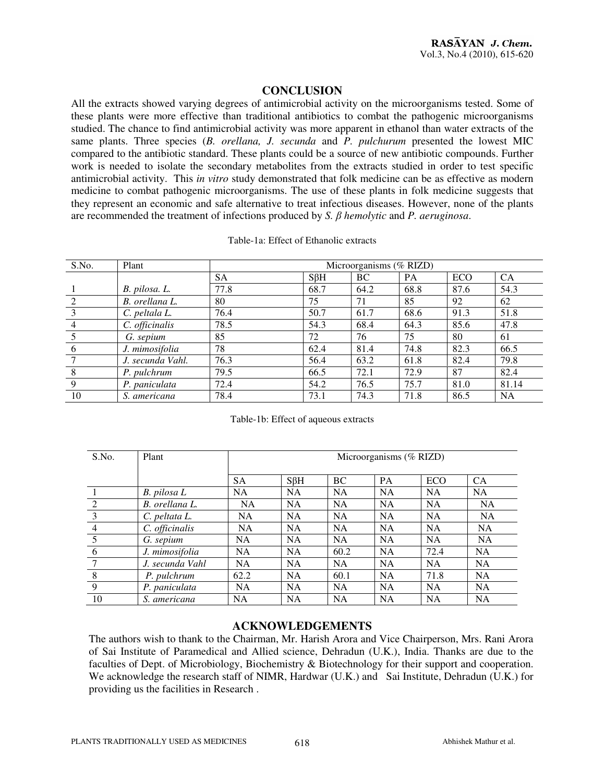## **CONCLUSION**

All the extracts showed varying degrees of antimicrobial activity on the microorganisms tested. Some of these plants were more effective than traditional antibiotics to combat the pathogenic microorganisms studied. The chance to find antimicrobial activity was more apparent in ethanol than water extracts of the same plants. Three species (*B. orellana, J. secunda* and *P. pulchurum* presented the lowest MIC compared to the antibiotic standard. These plants could be a source of new antibiotic compounds. Further work is needed to isolate the secondary metabolites from the extracts studied in order to test specific antimicrobial activity. This *in vitro* study demonstrated that folk medicine can be as effective as modern medicine to combat pathogenic microorganisms. The use of these plants in folk medicine suggests that they represent an economic and safe alternative to treat infectious diseases. However, none of the plants are recommended the treatment of infections produced by *S.* β *hemolytic* and *P. aeruginosa*.

Table-1a: Effect of Ethanolic extracts

| S.No. | Plant            | Microorganisms (% RIZD) |            |      |           |      |           |
|-------|------------------|-------------------------|------------|------|-----------|------|-----------|
|       |                  | <b>SA</b>               | $S\beta H$ | BC   | <b>PA</b> | ECO  | <b>CA</b> |
|       | B. pilosa. L.    | 77.8                    | 68.7       | 64.2 | 68.8      | 87.6 | 54.3      |
|       | B. orellana L.   | 80                      | 75         | 71   | 85        | 92   | 62        |
|       | C. peltala L.    | 76.4                    | 50.7       | 61.7 | 68.6      | 91.3 | 51.8      |
|       | C. officinalis   | 78.5                    | 54.3       | 68.4 | 64.3      | 85.6 | 47.8      |
|       | G. sepium        | 85                      | 72         | 76   | 75        | 80   | 61        |
| 6     | J. mimosifolia   | 78                      | 62.4       | 81.4 | 74.8      | 82.3 | 66.5      |
|       | J. secunda Vahl. | 76.3                    | 56.4       | 63.2 | 61.8      | 82.4 | 79.8      |
| 8     | P. pulchrum      | 79.5                    | 66.5       | 72.1 | 72.9      | 87   | 82.4      |
| 9     | P. paniculata    | 72.4                    | 54.2       | 76.5 | 75.7      | 81.0 | 81.14     |
| 10    | S. americana     | 78.4                    | 73.1       | 74.3 | 71.8      | 86.5 | <b>NA</b> |

#### Table-1b: Effect of aqueous extracts

| S.No.          | Plant           | Microorganisms (% RIZD) |            |           |           |           |           |
|----------------|-----------------|-------------------------|------------|-----------|-----------|-----------|-----------|
|                |                 | <b>SA</b>               | $S\beta H$ | BC.       | <b>PA</b> | ECO       | CA.       |
|                | B. pilosa L     | <b>NA</b>               | NA         | NA        | <b>NA</b> | <b>NA</b> | <b>NA</b> |
| 2              | B. orellana L.  | NA.                     | <b>NA</b>  | NA        | <b>NA</b> | <b>NA</b> | <b>NA</b> |
| 3              | C. peltata L.   | <b>NA</b>               | <b>NA</b>  | NA        | <b>NA</b> | <b>NA</b> | <b>NA</b> |
| $\overline{4}$ | C. officinalis  | <b>NA</b>               | <b>NA</b>  | <b>NA</b> | <b>NA</b> | <b>NA</b> | NA        |
| 5              | G. sepium       | <b>NA</b>               | <b>NA</b>  | <b>NA</b> | <b>NA</b> | <b>NA</b> | <b>NA</b> |
| 6              | J. mimosifolia  | NA                      | <b>NA</b>  | 60.2      | <b>NA</b> | 72.4      | <b>NA</b> |
| 7              | J. secunda Vahl | <b>NA</b>               | <b>NA</b>  | <b>NA</b> | <b>NA</b> | <b>NA</b> | NA.       |
| 8              | P. pulchrum     | 62.2                    | <b>NA</b>  | 60.1      | <b>NA</b> | 71.8      | <b>NA</b> |
| 9              | P. paniculata   | NA.                     | NA.        | <b>NA</b> | <b>NA</b> | <b>NA</b> | <b>NA</b> |
| 10             | S. americana    | <b>NA</b>               | <b>NA</b>  | <b>NA</b> | <b>NA</b> | <b>NA</b> | <b>NA</b> |

#### **ACKNOWLEDGEMENTS**

The authors wish to thank to the Chairman, Mr. Harish Arora and Vice Chairperson, Mrs. Rani Arora of Sai Institute of Paramedical and Allied science, Dehradun (U.K.), India. Thanks are due to the faculties of Dept. of Microbiology, Biochemistry & Biotechnology for their support and cooperation. We acknowledge the research staff of NIMR, Hardwar (U.K.) and Sai Institute, Dehradun (U.K.) for providing us the facilities in Research .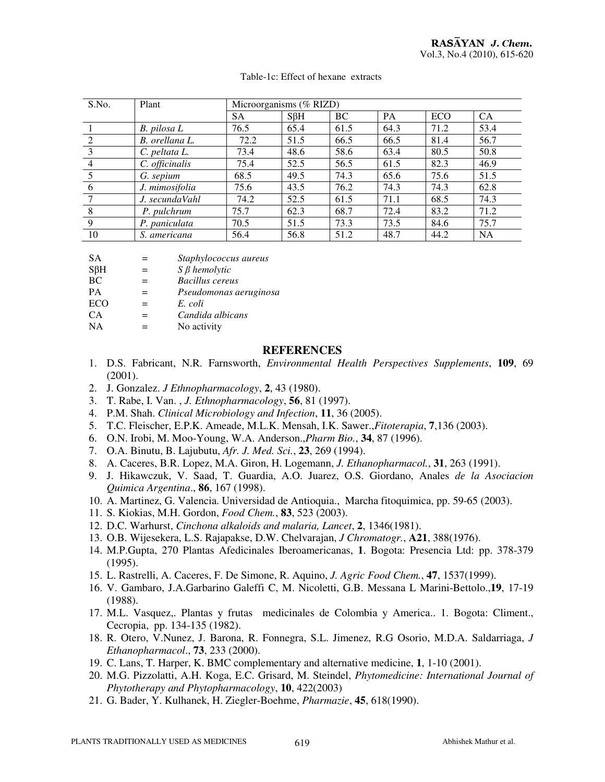| S.No. | Plant          | Microorganisms (% RIZD) |            |      |           |            |           |
|-------|----------------|-------------------------|------------|------|-----------|------------|-----------|
|       |                | <b>SA</b>               | $S\beta H$ | BC.  | <b>PA</b> | <b>ECO</b> | <b>CA</b> |
|       | B. pilosa L    | 76.5                    | 65.4       | 61.5 | 64.3      | 71.2       | 53.4      |
| 2     | B. orellana L. | 72.2                    | 51.5       | 66.5 | 66.5      | 81.4       | 56.7      |
| 3     | C. peltata L.  | 73.4                    | 48.6       | 58.6 | 63.4      | 80.5       | 50.8      |
| 4     | C. officinalis | 75.4                    | 52.5       | 56.5 | 61.5      | 82.3       | 46.9      |
|       | G. sepium      | 68.5                    | 49.5       | 74.3 | 65.6      | 75.6       | 51.5      |
| 6     | J. mimosifolia | 75.6                    | 43.5       | 76.2 | 74.3      | 74.3       | 62.8      |
|       | J. secundaVahl | 74.2                    | 52.5       | 61.5 | 71.1      | 68.5       | 74.3      |
| 8     | P. pulchrum    | 75.7                    | 62.3       | 68.7 | 72.4      | 83.2       | 71.2      |
| 9     | P. paniculata  | 70.5                    | 51.5       | 73.3 | 73.5      | 84.6       | 75.7      |
| 10    | S. americana   | 56.4                    | 56.8       | 51.2 | 48.7      | 44.2       | <b>NA</b> |

| SА |  | Staphylococcus aureus |  |
|----|--|-----------------------|--|
|----|--|-----------------------|--|

SβH = *S* β *hemolytic* 

BC = *Bacillus cereus* 

- PA = *Pseudomonas aeruginosa*
- $=$  *E. coli*
- CA = *Candida albicans*
- $NA = No activity$

#### **REFERENCES**

- 1. D.S. Fabricant, N.R. Farnsworth, *Environmental Health Perspectives Supplements*, **109**, 69 (2001).
- 2. J. Gonzalez. *J Ethnopharmacology*, **2**, 43 (1980).
- 3. T. Rabe, I. Van. , *J. Ethnopharmacology*, **56**, 81 (1997).
- 4. P.M. Shah. *Clinical Microbiology and Infection*, **11**, 36 (2005).
- 5. T.C. Fleischer, E.P.K. Ameade, M.L.K. Mensah, I.K. Sawer.,*Fitoterapia*, **7**,136 (2003).
- 6. O.N. Irobi, M. Moo-Young, W.A. Anderson.,*Pharm Bio.*, **34**, 87 (1996).
- 7. O.A. Binutu, B. Lajubutu, *Afr. J. Med. Sci.*, **23**, 269 (1994).
- 8. A. Caceres, B.R. Lopez, M.A. Giron, H. Logemann, *J. Ethanopharmacol.*, **31**, 263 (1991).
- 9. J. Hikawczuk, V. Saad, T. Guardia, A.O. Juarez, O.S. Giordano, Anales *de la Asociacion Quimica Argentina*., **86**, 167 (1998).
- 10. A. Martinez, G. Valencia. Universidad de Antioquia., Marcha fitoquimica, pp. 59-65 (2003).
- 11. S. Kiokias, M.H. Gordon, *Food Chem.*, **83**, 523 (2003).
- 12. D.C. Warhurst, *Cinchona alkaloids and malaria, Lancet*, **2**, 1346(1981).
- 13. O.B. Wijesekera, L.S. Rajapakse, D.W. Chelvarajan, *J Chromatogr.*, **A21**, 388(1976).
- 14. M.P.Gupta, 270 Plantas Afedicinales Iberoamericanas, **1**. Bogota: Presencia Ltd: pp. 378-379 (1995).
- 15. L. Rastrelli, A. Caceres, F. De Simone, R. Aquino, *J. Agric Food Chem.*, **47**, 1537(1999).
- 16. V. Gambaro, J.A.Garbarino Galeffi C, M. Nicoletti, G.B. Messana L Marini-Bettolo.,**19**, 17-19 (1988).
- 17. M.L. Vasquez,. Plantas y frutas medicinales de Colombia y America.. 1. Bogota: Climent., Cecropia, pp. 134-135 (1982).
- 18. R. Otero, V.Nunez, J. Barona, R. Fonnegra, S.L. Jimenez, R.G Osorio, M.D.A. Saldarriaga, *J Ethanopharmacol*., **73**, 233 (2000).
- 19. C. Lans, T. Harper, K. BMC complementary and alternative medicine, **1**, 1-10 (2001).
- 20. M.G. Pizzolatti, A.H. Koga, E.C. Grisard, M. Steindel, *Phytomedicine: International Journal of Phytotherapy and Phytopharmacology*, **10**, 422(2003)
- 21. G. Bader, Y. Kulhanek, H. Ziegler-Boehme, *Pharmazie*, **45**, 618(1990).